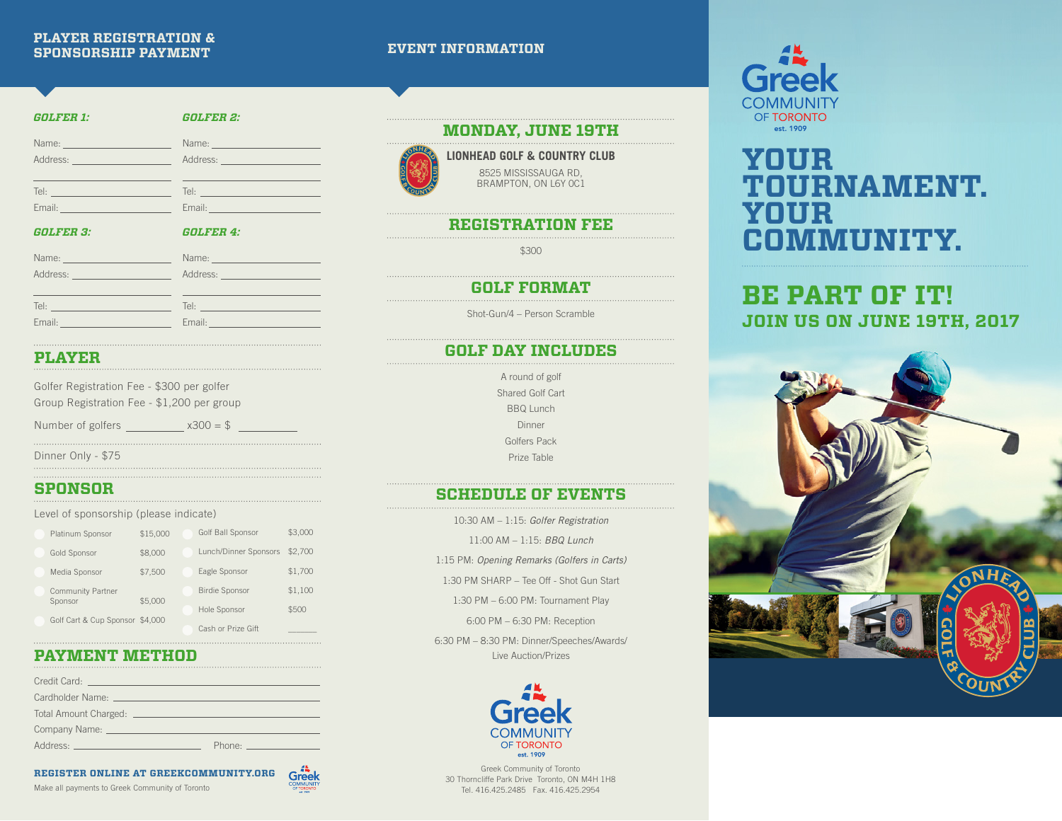### **PLAYER REGISTRATION & SPONSORSHIP PAYMENT**

| <b>EVENT INFORMATION</b> |  |  |  |
|--------------------------|--|--|--|
|                          |  |  |  |
|                          |  |  |  |

| <b>GOLFER 1:</b>                                                                     | <b>GOLFER 2:</b>                                                                                              |
|--------------------------------------------------------------------------------------|---------------------------------------------------------------------------------------------------------------|
| Name: _________________________                                                      |                                                                                                               |
| Address: _______________________                                                     | Address: <u>_______________________</u>                                                                       |
| Tel: ________________________________                                                |                                                                                                               |
| Email: <u>___________________________</u>                                            | Email: 2008 - 2009 - 2010 - 2010 - 2010 - 2011 - 2012 - 2012 - 2012 - 2012 - 2012 - 2012 - 2013 - 2014 - 2012 |
|                                                                                      |                                                                                                               |
| <b>GOLFER 3:</b>                                                                     | <b>GOLFER 4:</b>                                                                                              |
| Name: ___________________________                                                    |                                                                                                               |
| Address: _________________________                                                   | Address: ________________________                                                                             |
|                                                                                      |                                                                                                               |
| Tel: <u>____________________________</u><br>Email: <u>__________________________</u> | Email: <u>__________________________</u>                                                                      |

### **MONDAY, JUNE 19TH**



**LIONHEAD GOLF & COUNTRY CLUB** 8525 MISSISSAUGA RD, BRAMPTON, ON L6Y 0C1

## **REGISTRATION FEE**

\$300

**GOLF FORMAT**

Shot-Gun/4 – Person Scramble

## **GOLF DAY INCLUDES**

A round of golf Shared Golf Cart BBQ Lunch Dinner Golfers Pack Prize Table

## **SCHEDULE OF EVENTS**

10:30 AM – 1:15: *Golfer Registration*

11:00 AM – 1:15: *BBQ Lunch*

1:15 PM: *Opening Remarks (Golfers in Carts)*

1:30 PM SHARP – Tee Off - Shot Gun Start

1:30 PM – 6:00 PM: Tournament Play

6:00 PM – 6:30 PM: Reception

6:30 PM – 8:30 PM: Dinner/Speeches/Awards/ Live Auction/Prizes



Greek Community of Toronto 30 Thorncliffe Park Drive Toronto, ON M4H 1H8 Tel. 416.425.2485 Fax. 416.425.2954



# **YOUR TOURNAMENT. YOUR COMMUNITY.**

# **BE PART OF IT! JOIN US ON JUNE 19TH, 2017**



## **PLAYER**

| Golfer Registration Fee - \$300 per golfer |  |  |
|--------------------------------------------|--|--|
| Group Registration Fee - \$1,200 per group |  |  |

Number of golfers  $\frac{\sqrt{300}}{2}$ 

Dinner Only - \$75

## **SPONSOR**

### Level of sponsorship (please indicate)

| Platinum Sponsor                    | \$15,000 | Golf Ball Sponsor     | \$3,000 |
|-------------------------------------|----------|-----------------------|---------|
| <b>Gold Sponsor</b>                 | \$8,000  | Lunch/Dinner Sponsors | \$2,700 |
| Media Sponsor                       | \$7,500  | Eagle Sponsor         | \$1,700 |
| <b>Community Partner</b><br>Sponsor | \$5,000  | <b>Birdie Sponsor</b> | \$1,100 |
|                                     |          | Hole Sponsor          | \$500   |
| Golf Cart & Cup Sponsor \$4,000     |          | Cash or Prize Gift    |         |

### **PAYMENT METHOD**

| Cardholder Name: The Cardholder Name:                           |              |
|-----------------------------------------------------------------|--------------|
| Total Amount Charged: <u>__________________________________</u> |              |
|                                                                 |              |
| Address: Address:                                               | Phone: Phone |

### **REGISTER ONLINE AT GREEKCOMMUNITY.ORG**

Make all payments to Greek Community of Toronto